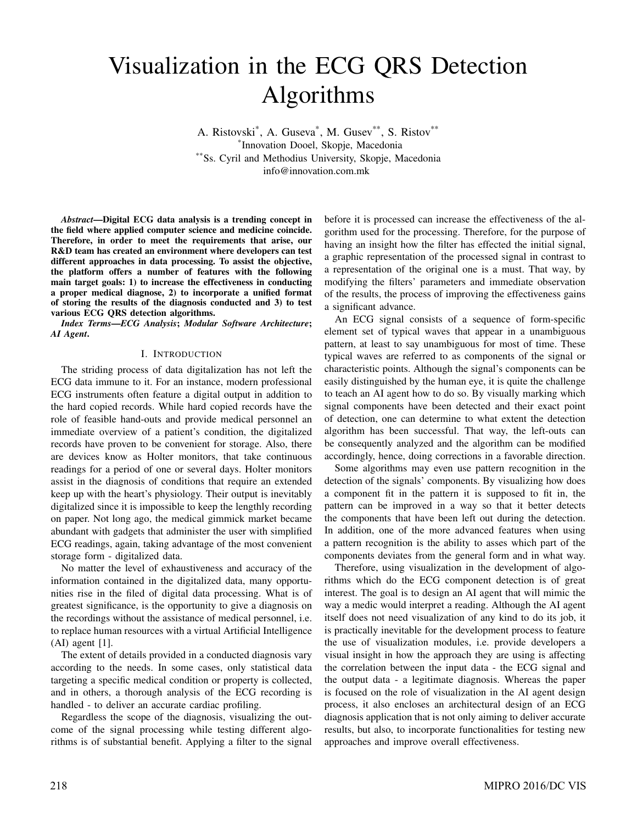# Visualization in the ECG QRS Detection Algorithms

A. Ristovski<sup>\*</sup>, A. Guseva<sup>\*</sup>, M. Gusev<sup>\*\*</sup>, S. Ristov<sup>\*\*</sup> \* Innovation Dooel, Skopje, Macedonia \*\*Ss. Cyril and Methodius University, Skopje, Macedonia info@innovation.com.mk

*Abstract*—Digital ECG data analysis is a trending concept in the field where applied computer science and medicine coincide. Therefore, in order to meet the requirements that arise, our R&D team has created an environment where developers can test different approaches in data processing. To assist the objective, the platform offers a number of features with the following main target goals: 1) to increase the effectiveness in conducting a proper medical diagnose, 2) to incorporate a unified format of storing the results of the diagnosis conducted and 3) to test various ECG QRS detection algorithms.

*Index Terms*—*ECG Analysis*; *Modular Software Architecture*; *AI Agent*.

#### I. INTRODUCTION

The striding process of data digitalization has not left the ECG data immune to it. For an instance, modern professional ECG instruments often feature a digital output in addition to the hard copied records. While hard copied records have the role of feasible hand-outs and provide medical personnel an immediate overview of a patient's condition, the digitalized records have proven to be convenient for storage. Also, there are devices know as Holter monitors, that take continuous readings for a period of one or several days. Holter monitors assist in the diagnosis of conditions that require an extended keep up with the heart's physiology. Their output is inevitably digitalized since it is impossible to keep the lengthly recording on paper. Not long ago, the medical gimmick market became abundant with gadgets that administer the user with simplified ECG readings, again, taking advantage of the most convenient storage form - digitalized data.

No matter the level of exhaustiveness and accuracy of the information contained in the digitalized data, many opportunities rise in the filed of digital data processing. What is of greatest significance, is the opportunity to give a diagnosis on the recordings without the assistance of medical personnel, i.e. to replace human resources with a virtual Artificial Intelligence (AI) agent [1].

The extent of details provided in a conducted diagnosis vary according to the needs. In some cases, only statistical data targeting a specific medical condition or property is collected, and in others, a thorough analysis of the ECG recording is handled - to deliver an accurate cardiac profiling.

Regardless the scope of the diagnosis, visualizing the outcome of the signal processing while testing different algorithms is of substantial benefit. Applying a filter to the signal before it is processed can increase the effectiveness of the algorithm used for the processing. Therefore, for the purpose of having an insight how the filter has effected the initial signal, a graphic representation of the processed signal in contrast to a representation of the original one is a must. That way, by modifying the filters' parameters and immediate observation of the results, the process of improving the effectiveness gains a significant advance.

An ECG signal consists of a sequence of form-specific element set of typical waves that appear in a unambiguous pattern, at least to say unambiguous for most of time. These typical waves are referred to as components of the signal or characteristic points. Although the signal's components can be easily distinguished by the human eye, it is quite the challenge to teach an AI agent how to do so. By visually marking which signal components have been detected and their exact point of detection, one can determine to what extent the detection algorithm has been successful. That way, the left-outs can be consequently analyzed and the algorithm can be modified accordingly, hence, doing corrections in a favorable direction.

Some algorithms may even use pattern recognition in the detection of the signals' components. By visualizing how does a component fit in the pattern it is supposed to fit in, the pattern can be improved in a way so that it better detects the components that have been left out during the detection. In addition, one of the more advanced features when using a pattern recognition is the ability to asses which part of the components deviates from the general form and in what way.

Therefore, using visualization in the development of algorithms which do the ECG component detection is of great interest. The goal is to design an AI agent that will mimic the way a medic would interpret a reading. Although the AI agent itself does not need visualization of any kind to do its job, it is practically inevitable for the development process to feature the use of visualization modules, i.e. provide developers a visual insight in how the approach they are using is affecting the correlation between the input data - the ECG signal and the output data - a legitimate diagnosis. Whereas the paper is focused on the role of visualization in the AI agent design process, it also encloses an architectural design of an ECG diagnosis application that is not only aiming to deliver accurate results, but also, to incorporate functionalities for testing new approaches and improve overall effectiveness.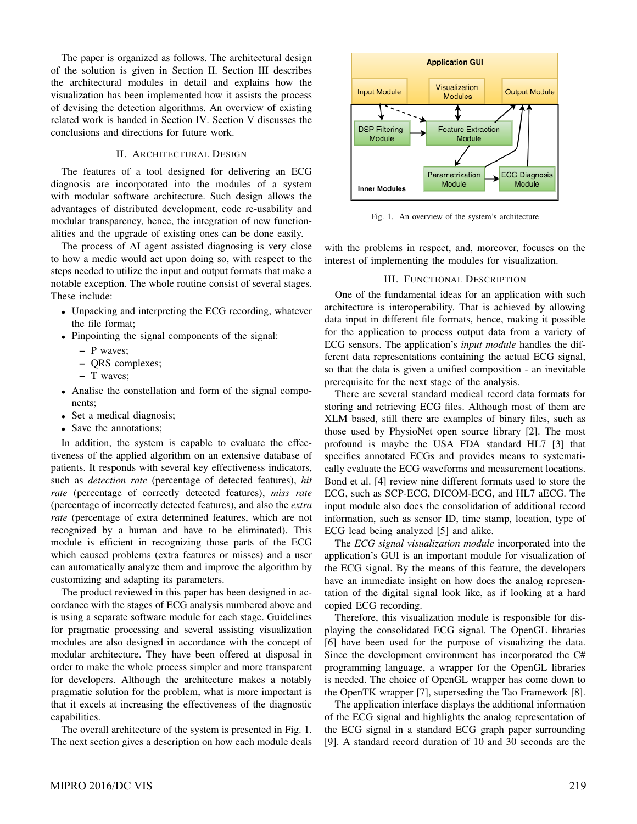The paper is organized as follows. The architectural design of the solution is given in Section II. Section III describes the architectural modules in detail and explains how the visualization has been implemented how it assists the process of devising the detection algorithms. An overview of existing related work is handed in Section IV. Section V discusses the conclusions and directions for future work.

### II. ARCHITECTURAL DESIGN

The features of a tool designed for delivering an ECG diagnosis are incorporated into the modules of a system with modular software architecture. Such design allows the advantages of distributed development, code re-usability and modular transparency, hence, the integration of new functionalities and the upgrade of existing ones can be done easily.

The process of AI agent assisted diagnosing is very close to how a medic would act upon doing so, with respect to the steps needed to utilize the input and output formats that make a notable exception. The whole routine consist of several stages. These include:

- Unpacking and interpreting the ECG recording, whatever the file format;
- Pinpointing the signal components of the signal:
	- P waves;
	- QRS complexes;
	- T waves;
- Analise the constellation and form of the signal components;
- Set a medical diagnosis;
- Save the annotations;

In addition, the system is capable to evaluate the effectiveness of the applied algorithm on an extensive database of patients. It responds with several key effectiveness indicators, such as *detection rate* (percentage of detected features), *hit rate* (percentage of correctly detected features), *miss rate* (percentage of incorrectly detected features), and also the *extra rate* (percentage of extra determined features, which are not recognized by a human and have to be eliminated). This module is efficient in recognizing those parts of the ECG which caused problems (extra features or misses) and a user can automatically analyze them and improve the algorithm by customizing and adapting its parameters.

The product reviewed in this paper has been designed in accordance with the stages of ECG analysis numbered above and is using a separate software module for each stage. Guidelines for pragmatic processing and several assisting visualization modules are also designed in accordance with the concept of modular architecture. They have been offered at disposal in order to make the whole process simpler and more transparent for developers. Although the architecture makes a notably pragmatic solution for the problem, what is more important is that it excels at increasing the effectiveness of the diagnostic capabilities.

The overall architecture of the system is presented in Fig. 1. The next section gives a description on how each module deals



Fig. 1. An overview of the system's architecture

with the problems in respect, and, moreover, focuses on the interest of implementing the modules for visualization.

#### III. FUNCTIONAL DESCRIPTION

One of the fundamental ideas for an application with such architecture is interoperability. That is achieved by allowing data input in different file formats, hence, making it possible for the application to process output data from a variety of ECG sensors. The application's *input module* handles the different data representations containing the actual ECG signal, so that the data is given a unified composition - an inevitable prerequisite for the next stage of the analysis.

There are several standard medical record data formats for storing and retrieving ECG files. Although most of them are XLM based, still there are examples of binary files, such as those used by PhysioNet open source library [2]. The most profound is maybe the USA FDA standard HL7 [3] that specifies annotated ECGs and provides means to systematically evaluate the ECG waveforms and measurement locations. Bond et al. [4] review nine different formats used to store the ECG, such as SCP-ECG, DICOM-ECG, and HL7 aECG. The input module also does the consolidation of additional record information, such as sensor ID, time stamp, location, type of ECG lead being analyzed [5] and alike.

The *ECG signal visualization module* incorporated into the application's GUI is an important module for visualization of the ECG signal. By the means of this feature, the developers have an immediate insight on how does the analog representation of the digital signal look like, as if looking at a hard copied ECG recording.

Therefore, this visualization module is responsible for displaying the consolidated ECG signal. The OpenGL libraries [6] have been used for the purpose of visualizing the data. Since the development environment has incorporated the C# programming language, a wrapper for the OpenGL libraries is needed. The choice of OpenGL wrapper has come down to the OpenTK wrapper [7], superseding the Tao Framework [8].

The application interface displays the additional information of the ECG signal and highlights the analog representation of the ECG signal in a standard ECG graph paper surrounding [9]. A standard record duration of 10 and 30 seconds are the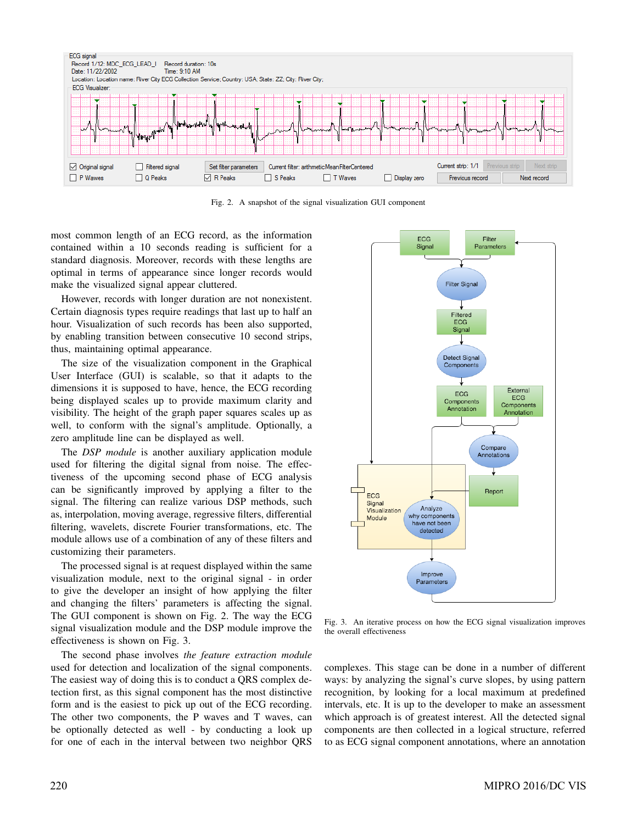

Fig. 2. A snapshot of the signal visualization GUI component

most common length of an ECG record, as the information contained within a 10 seconds reading is sufficient for a standard diagnosis. Moreover, records with these lengths are optimal in terms of appearance since longer records would make the visualized signal appear cluttered.

However, records with longer duration are not nonexistent. Certain diagnosis types require readings that last up to half an hour. Visualization of such records has been also supported, by enabling transition between consecutive 10 second strips, thus, maintaining optimal appearance.

The size of the visualization component in the Graphical User Interface (GUI) is scalable, so that it adapts to the dimensions it is supposed to have, hence, the ECG recording being displayed scales up to provide maximum clarity and visibility. The height of the graph paper squares scales up as well, to conform with the signal's amplitude. Optionally, a zero amplitude line can be displayed as well.

The *DSP module* is another auxiliary application module used for filtering the digital signal from noise. The effectiveness of the upcoming second phase of ECG analysis can be significantly improved by applying a filter to the signal. The filtering can realize various DSP methods, such as, interpolation, moving average, regressive filters, differential filtering, wavelets, discrete Fourier transformations, etc. The module allows use of a combination of any of these filters and customizing their parameters.

The processed signal is at request displayed within the same visualization module, next to the original signal - in order to give the developer an insight of how applying the filter and changing the filters' parameters is affecting the signal. The GUI component is shown on Fig. 2. The way the ECG signal visualization module and the DSP module improve the effectiveness is shown on Fig. 3.

The second phase involves *the feature extraction module* used for detection and localization of the signal components. The easiest way of doing this is to conduct a QRS complex detection first, as this signal component has the most distinctive form and is the easiest to pick up out of the ECG recording. The other two components, the P waves and T waves, can be optionally detected as well - by conducting a look up for one of each in the interval between two neighbor QRS



Fig. 3. An iterative process on how the ECG signal visualization improves the overall effectiveness

complexes. This stage can be done in a number of different ways: by analyzing the signal's curve slopes, by using pattern recognition, by looking for a local maximum at predefined intervals, etc. It is up to the developer to make an assessment which approach is of greatest interest. All the detected signal components are then collected in a logical structure, referred to as ECG signal component annotations, where an annotation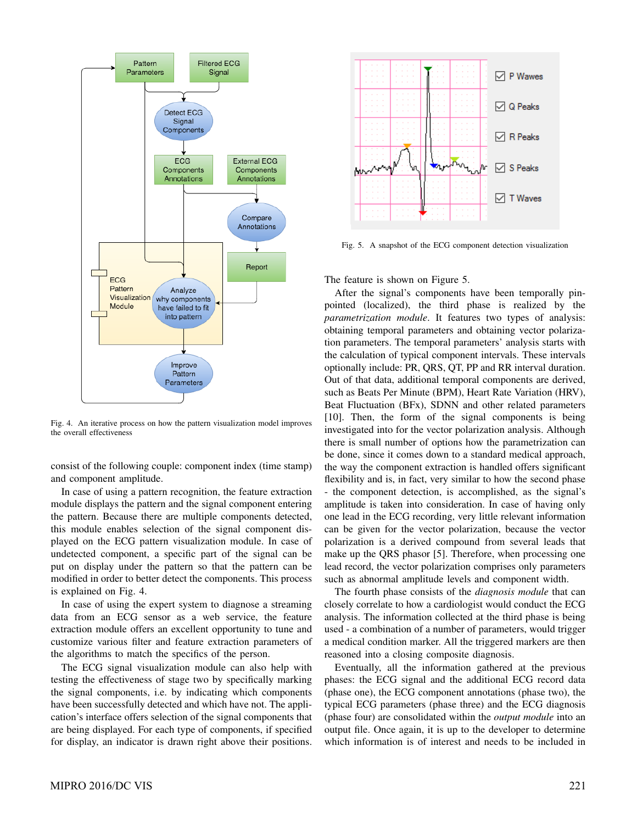

Fig. 4. An iterative process on how the pattern visualization model improves the overall effectiveness

consist of the following couple: component index (time stamp) and component amplitude.

In case of using a pattern recognition, the feature extraction module displays the pattern and the signal component entering the pattern. Because there are multiple components detected, this module enables selection of the signal component displayed on the ECG pattern visualization module. In case of undetected component, a specific part of the signal can be put on display under the pattern so that the pattern can be modified in order to better detect the components. This process is explained on Fig. 4.

In case of using the expert system to diagnose a streaming data from an ECG sensor as a web service, the feature extraction module offers an excellent opportunity to tune and customize various filter and feature extraction parameters of the algorithms to match the specifics of the person.

The ECG signal visualization module can also help with testing the effectiveness of stage two by specifically marking the signal components, i.e. by indicating which components have been successfully detected and which have not. The application's interface offers selection of the signal components that are being displayed. For each type of components, if specified for display, an indicator is drawn right above their positions.



Fig. 5. A snapshot of the ECG component detection visualization

The feature is shown on Figure 5.

After the signal's components have been temporally pinpointed (localized), the third phase is realized by the *parametrization module*. It features two types of analysis: obtaining temporal parameters and obtaining vector polarization parameters. The temporal parameters' analysis starts with the calculation of typical component intervals. These intervals optionally include: PR, QRS, QT, PP and RR interval duration. Out of that data, additional temporal components are derived, such as Beats Per Minute (BPM), Heart Rate Variation (HRV), Beat Fluctuation (BFx), SDNN and other related parameters [10]. Then, the form of the signal components is being investigated into for the vector polarization analysis. Although there is small number of options how the parametrization can be done, since it comes down to a standard medical approach, the way the component extraction is handled offers significant flexibility and is, in fact, very similar to how the second phase - the component detection, is accomplished, as the signal's amplitude is taken into consideration. In case of having only one lead in the ECG recording, very little relevant information can be given for the vector polarization, because the vector polarization is a derived compound from several leads that make up the QRS phasor [5]. Therefore, when processing one lead record, the vector polarization comprises only parameters such as abnormal amplitude levels and component width.

The fourth phase consists of the *diagnosis module* that can closely correlate to how a cardiologist would conduct the ECG analysis. The information collected at the third phase is being used - a combination of a number of parameters, would trigger a medical condition marker. All the triggered markers are then reasoned into a closing composite diagnosis.

Eventually, all the information gathered at the previous phases: the ECG signal and the additional ECG record data (phase one), the ECG component annotations (phase two), the typical ECG parameters (phase three) and the ECG diagnosis (phase four) are consolidated within the *output module* into an output file. Once again, it is up to the developer to determine which information is of interest and needs to be included in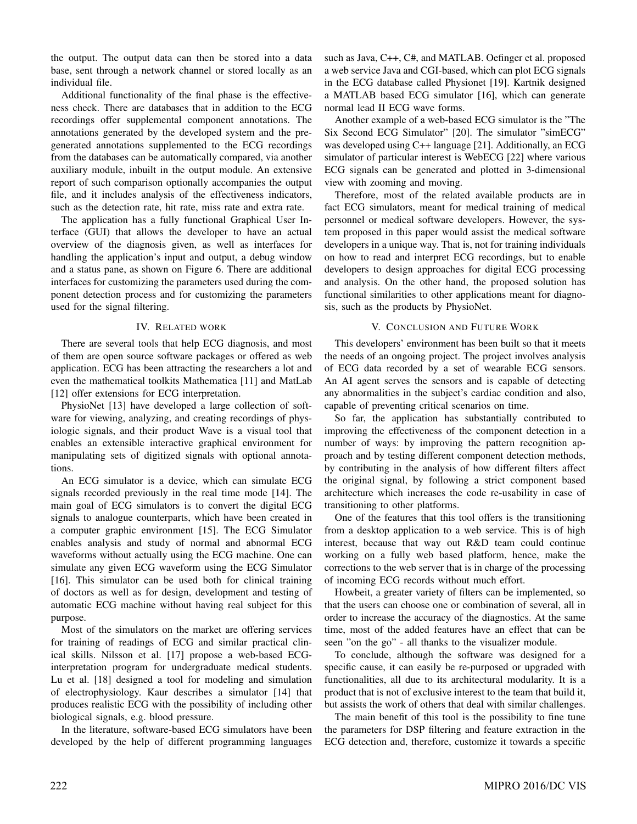the output. The output data can then be stored into a data base, sent through a network channel or stored locally as an individual file.

Additional functionality of the final phase is the effectiveness check. There are databases that in addition to the ECG recordings offer supplemental component annotations. The annotations generated by the developed system and the pregenerated annotations supplemented to the ECG recordings from the databases can be automatically compared, via another auxiliary module, inbuilt in the output module. An extensive report of such comparison optionally accompanies the output file, and it includes analysis of the effectiveness indicators, such as the detection rate, hit rate, miss rate and extra rate.

The application has a fully functional Graphical User Interface (GUI) that allows the developer to have an actual overview of the diagnosis given, as well as interfaces for handling the application's input and output, a debug window and a status pane, as shown on Figure 6. There are additional interfaces for customizing the parameters used during the component detection process and for customizing the parameters used for the signal filtering.

## IV. RELATED WORK

There are several tools that help ECG diagnosis, and most of them are open source software packages or offered as web application. ECG has been attracting the researchers a lot and even the mathematical toolkits Mathematica [11] and MatLab [12] offer extensions for ECG interpretation.

PhysioNet [13] have developed a large collection of software for viewing, analyzing, and creating recordings of physiologic signals, and their product Wave is a visual tool that enables an extensible interactive graphical environment for manipulating sets of digitized signals with optional annotations.

An ECG simulator is a device, which can simulate ECG signals recorded previously in the real time mode [14]. The main goal of ECG simulators is to convert the digital ECG signals to analogue counterparts, which have been created in a computer graphic environment [15]. The ECG Simulator enables analysis and study of normal and abnormal ECG waveforms without actually using the ECG machine. One can simulate any given ECG waveform using the ECG Simulator [16]. This simulator can be used both for clinical training of doctors as well as for design, development and testing of automatic ECG machine without having real subject for this purpose.

Most of the simulators on the market are offering services for training of readings of ECG and similar practical clinical skills. Nilsson et al. [17] propose a web-based ECGinterpretation program for undergraduate medical students. Lu et al. [18] designed a tool for modeling and simulation of electrophysiology. Kaur describes a simulator [14] that produces realistic ECG with the possibility of including other biological signals, e.g. blood pressure.

In the literature, software-based ECG simulators have been developed by the help of different programming languages such as Java, C++, C#, and MATLAB. Oefinger et al. proposed a web service Java and CGI-based, which can plot ECG signals in the ECG database called Physionet [19]. Kartnik designed a MATLAB based ECG simulator [16], which can generate normal lead II ECG wave forms.

Another example of a web-based ECG simulator is the "The Six Second ECG Simulator" [20]. The simulator "simECG" was developed using C++ language [21]. Additionally, an ECG simulator of particular interest is WebECG [22] where various ECG signals can be generated and plotted in 3-dimensional view with zooming and moving.

Therefore, most of the related available products are in fact ECG simulators, meant for medical training of medical personnel or medical software developers. However, the system proposed in this paper would assist the medical software developers in a unique way. That is, not for training individuals on how to read and interpret ECG recordings, but to enable developers to design approaches for digital ECG processing and analysis. On the other hand, the proposed solution has functional similarities to other applications meant for diagnosis, such as the products by PhysioNet.

#### V. CONCLUSION AND FUTURE WORK

This developers' environment has been built so that it meets the needs of an ongoing project. The project involves analysis of ECG data recorded by a set of wearable ECG sensors. An AI agent serves the sensors and is capable of detecting any abnormalities in the subject's cardiac condition and also, capable of preventing critical scenarios on time.

So far, the application has substantially contributed to improving the effectiveness of the component detection in a number of ways: by improving the pattern recognition approach and by testing different component detection methods, by contributing in the analysis of how different filters affect the original signal, by following a strict component based architecture which increases the code re-usability in case of transitioning to other platforms.

One of the features that this tool offers is the transitioning from a desktop application to a web service. This is of high interest, because that way out R&D team could continue working on a fully web based platform, hence, make the corrections to the web server that is in charge of the processing of incoming ECG records without much effort.

Howbeit, a greater variety of filters can be implemented, so that the users can choose one or combination of several, all in order to increase the accuracy of the diagnostics. At the same time, most of the added features have an effect that can be seen "on the go" - all thanks to the visualizer module.

To conclude, although the software was designed for a specific cause, it can easily be re-purposed or upgraded with functionalities, all due to its architectural modularity. It is a product that is not of exclusive interest to the team that build it, but assists the work of others that deal with similar challenges.

The main benefit of this tool is the possibility to fine tune the parameters for DSP filtering and feature extraction in the ECG detection and, therefore, customize it towards a specific